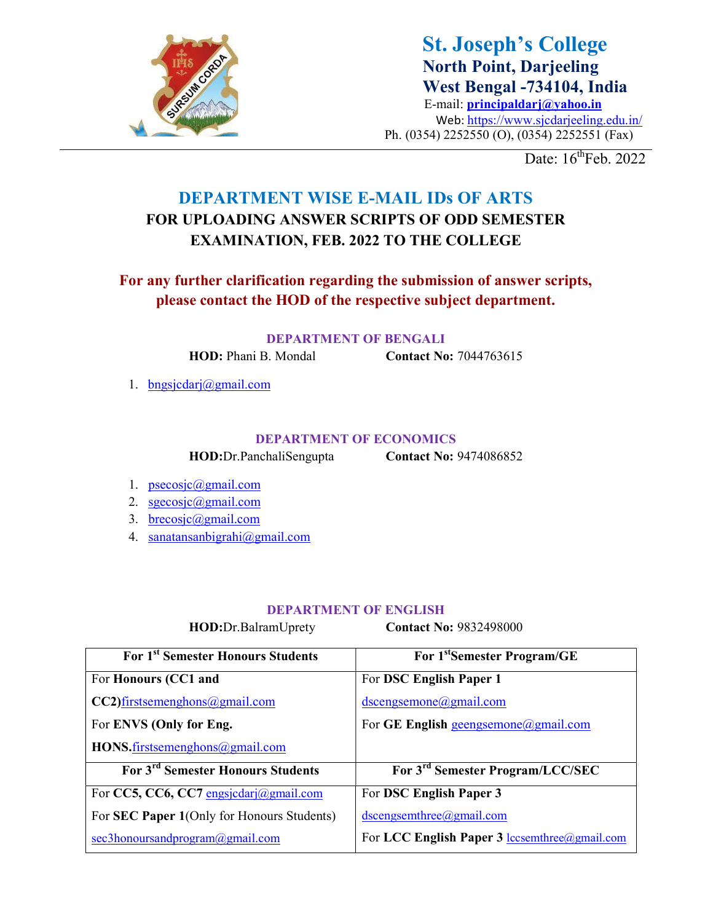

St. Joseph's College North Point, Darjeeling West Bengal -734104, India E-mail: principaldarj@yahoo.in Web: https://www.sjcdarjeeling.edu.in/ Ph. (0354) 2252550 (O), (0354) 2252551 (Fax)

Date:  $16^{\text{th}}$ Feb. 2022

## DEPARTMENT WISE E-MAIL IDs OF ARTS FOR UPLOADING ANSWER SCRIPTS OF ODD SEMESTER EXAMINATION, FEB. 2022 TO THE COLLEGE

## For any further clarification regarding the submission of answer scripts, please contact the HOD of the respective subject department.

DEPARTMENT OF BENGALI

HOD: Phani B. Mondal **Contact No:** 7044763615

1. bngsjcdarj@gmail.com

### DEPARTMENT OF ECONOMICS

HOD:Dr.PanchaliSengupta Contact No: 9474086852

- 1. psecosjc@gmail.com
- 2. sgecosjc@gmail.com
- 3. brecosjc@gmail.com
- 4. sanatansanbigrahi@gmail.com

### DEPARTMENT OF ENGLISH

HOD:Dr.BalramUprety **Contact No: 9832498000** 

| For 1 <sup>st</sup> Semester Honours Students      | For 1 <sup>st</sup> Semester Program/GE       |
|----------------------------------------------------|-----------------------------------------------|
| For Honours (CC1 and                               | For DSC English Paper 1                       |
| $CC2)$ firstsemenghons@gmail.com                   | $dscengsemone(a)$ gmail.com                   |
| For ENVS (Only for Eng.                            | For GE English geengsemone@gmail.com          |
| HONS.firstsemenghons@gmail.com                     |                                               |
| For 3 <sup>rd</sup> Semester Honours Students      | For 3 <sup>rd</sup> Semester Program/LCC/SEC  |
| For CC5, CC6, CC7 engsjcdarj@gmail.com             | For DSC English Paper 3                       |
| For <b>SEC Paper 1</b> (Only for Honours Students) | $dscengsemblea)$ <i>gmail.com</i>             |
| sec3honoursandprogram@gmail.com                    | For LCC English Paper 3 lccsemthree@gmail.com |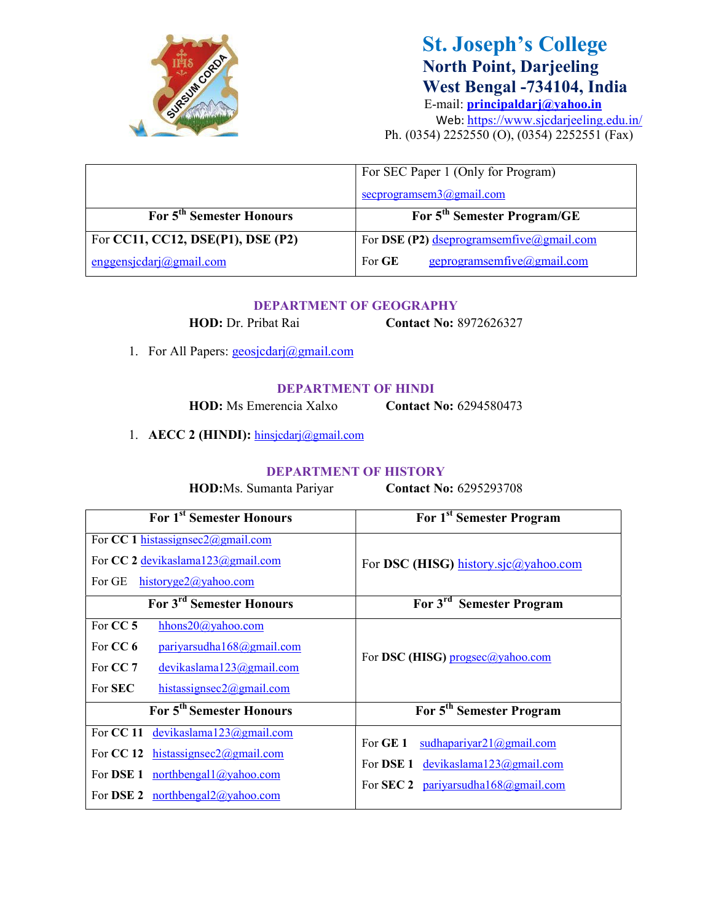

# St. Joseph's College North Point, Darjeeling West Bengal -734104, India

E-mail: principaldarj@yahoo.in Web: https://www.sjcdarjeeling.edu.in/ Ph. (0354) 2252550 (O), (0354) 2252551 (Fax)

|                                      | For SEC Paper 1 (Only for Program)                     |
|--------------------------------------|--------------------------------------------------------|
|                                      | $\frac{\text{secrprogramsem3}(a) \text{gmail.com}}{3}$ |
| For 5 <sup>th</sup> Semester Honours | For 5 <sup>th</sup> Semester Program/GE                |
| For CC11, CC12, DSE(P1), DSE (P2)    | For DSE (P2) dseprogramsemfive@gmail.com               |
| enggensjedarj@gmail.com              | geprogramsemfive@gmail.com<br>For GE                   |

#### DEPARTMENT OF GEOGRAPHY

HOD: Dr. Pribat Rai Contact No: 8972626327

1. For All Papers: geosjcdarj@gmail.com

#### DEPARTMENT OF HINDI

HOD: Ms Emerencia Xalxo Contact No: 6294580473

1. AECC 2 (HINDI): hinsjedarj@gmail.com

### DEPARTMENT OF HISTORY

HOD:Ms. Sumanta Pariyar Contact No: 6295293708

| For 1 <sup>st</sup> Semester Honours                                                                                                                             | For 1 <sup>st</sup> Semester Program                                                                                                    |
|------------------------------------------------------------------------------------------------------------------------------------------------------------------|-----------------------------------------------------------------------------------------------------------------------------------------|
| For CC 1 histassignsec2@gmail.com<br>For CC 2 devikaslama123@gmail.com                                                                                           | For DSC (HISG) history.sjc@yahoo.com                                                                                                    |
| For GE<br>$historyge2(a)$ yahoo.com                                                                                                                              |                                                                                                                                         |
| For 3 <sup>rd</sup> Semester Honours                                                                                                                             | For 3 <sup>rd</sup> Semester Program                                                                                                    |
| For CC 5<br>hhons20@yahoo.com<br>For CC 6<br>pariyar sudahal 68@gmail.com<br>For $CC7$<br>devikaslama123@gmail.com<br>For <b>SEC</b><br>histassignsec2@gmail.com | For DSC (HISG) progsec@yahoo.com                                                                                                        |
| For 5 <sup>th</sup> Semester Honours                                                                                                                             | For 5 <sup>th</sup> Semester Program                                                                                                    |
| For CC 11<br>devikaslama $123$ @gmail.com<br>For CC 12 histassignsec2@gmail.com<br>For DSE 1<br>northbengal1@yahoo.com<br>For DSE 2 northbengal $2$ @yahoo.com   | For GE 1<br>$sudhapari\varphi 21@gmail.com$<br>For DSE 1 devikaslama $123$ @gmail.com<br>For <b>SEC 2</b> pariyarsudha $168$ @gmail.com |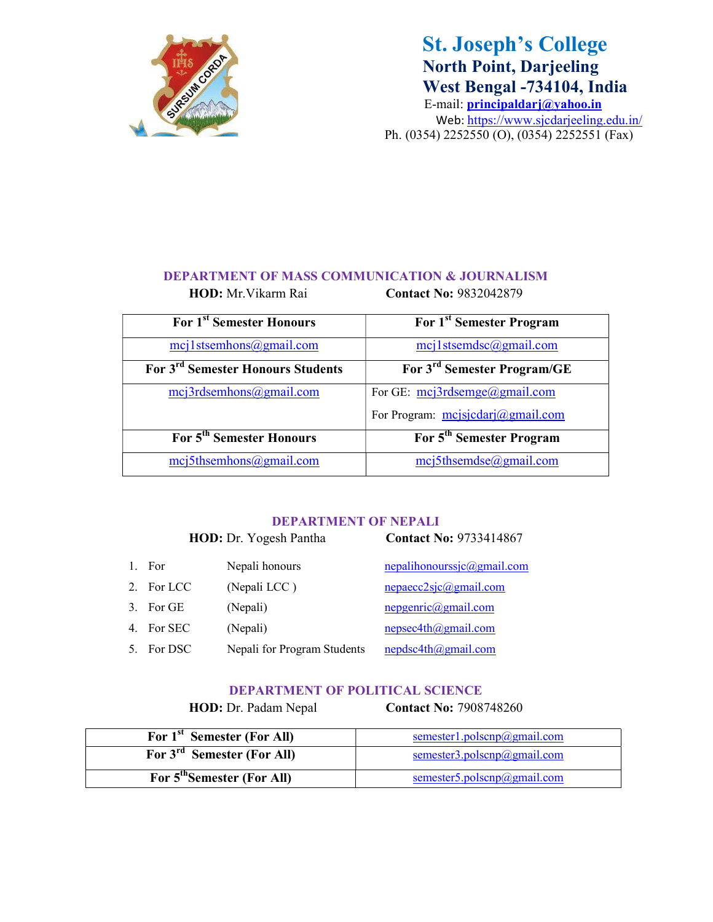

# St. Joseph's College North Point, Darjeeling West Bengal -734104, India

E-mail: principaldarj@yahoo.in Web: https://www.sjcdarjeeling.edu.in/ Ph. (0354) 2252550 (O), (0354) 2252551 (Fax)

## DEPARTMENT OF MASS COMMUNICATION & JOURNALISM

HOD: Mr. Vikarm Rai Contact No: 9832042879

| For 1 <sup>st</sup> Semester Honours          | For 1 <sup>st</sup> Semester Program    |
|-----------------------------------------------|-----------------------------------------|
| $mcj1$ stsemhons@gmail.com                    | $mcj1$ stsemdsc@gmail.com               |
| For 3 <sup>rd</sup> Semester Honours Students | For 3 <sup>rd</sup> Semester Program/GE |
| mcj3rdsemhons@gmail.com                       | For GE: $mcj3rdsemge(a)gmail.com$       |
|                                               | For Program: $mcj \cdot \frac{1}{2}$    |
| For 5 <sup>th</sup> Semester Honours          | For 5 <sup>th</sup> Semester Program    |
| $mcj5$ thsemhons@gmail.com                    | $mcj5$ thsemdse@gmail.com               |

### DEPARTMENT OF NEPALI

| HOD: Dr. Yogesh Pantha |           |                             | <b>Contact No: 9733414867</b>    |  |
|------------------------|-----------|-----------------------------|----------------------------------|--|
|                        | 1. For    | Nepali honours              | $nepalihonoursic(agmail.com)$    |  |
| 2.                     | For LCC   | (Nepali LCC)                | nepaecc2sjc@gmail.com            |  |
|                        | 3. For GE | (Nepali)                    | nepgenric@gmail.com              |  |
| 4.                     | For SEC   | (Nepali)                    | $nepsec4th(a)$ gmail.com         |  |
|                        | For DSC   | Nepali for Program Students | $nepdsc4th$ <i>(a)</i> gmail.com |  |

### DEPARTMENT OF POLITICAL SCIENCE

HOD: Dr. Padam Nepal Contact No: 7908748260

| For 1 <sup>st</sup> Semester (For All) | $s$ emester1.polscnp $@g$ mail.com |
|----------------------------------------|------------------------------------|
| For 3 <sup>rd</sup> Semester (For All) | semester3.polscnp@gmail.com        |
| For 5 <sup>th</sup> Semester (For All) | semester5.polscnp@gmail.com        |